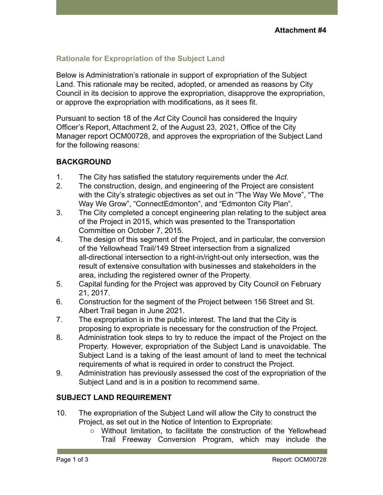# **Rationale for Expropriation of the Subject Land**

Below is Administration's rationale in support of expropriation of the Subject Land. This rationale may be recited, adopted, or amended as reasons by City Council in its decision to approve the expropriation, disapprove the expropriation, or approve the expropriation with modifications, as it sees fit.

Pursuant to section 18 of the *Act* City Council has considered the Inquiry Officer's Report, Attachment 2, of the August 23, 2021, Office of the City Manager report OCM00728, and approves the expropriation of the Subject Land for the following reasons:

### **BACKGROUND**

- 1. The City has satisfied the statutory requirements under the *Act*.
- 2. The construction, design, and engineering of the Project are consistent with the City's strategic objectives as set out in "The Way We Move", "The Way We Grow", "ConnectEdmonton", and "Edmonton City Plan".
- 3. The City completed a concept engineering plan relating to the subject area of the Project in 2015, which was presented to the Transportation Committee on October 7, 2015.
- 4. The design of this segment of the Project, and in particular, the conversion of the Yellowhead Trail/149 Street intersection from a signalized all-directional intersection to a right-in/right-out only intersection, was the result of extensive consultation with businesses and stakeholders in the area, including the registered owner of the Property.
- 5. Capital funding for the Project was approved by City Council on February 21, 2017.
- 6. Construction for the segment of the Project between 156 Street and St. Albert Trail began in June 2021.
- 7. The expropriation is in the public interest. The land that the City is proposing to expropriate is necessary for the construction of the Project.
- 8. Administration took steps to try to reduce the impact of the Project on the Property. However, expropriation of the Subject Land is unavoidable. The Subject Land is a taking of the least amount of land to meet the technical requirements of what is required in order to construct the Project.
- 9. Administration has previously assessed the cost of the expropriation of the Subject Land and is in a position to recommend same.

### **SUBJECT LAND REQUIREMENT**

- 10. The expropriation of the Subject Land will allow the City to construct the Project, as set out in the Notice of Intention to Expropriate:
	- Without limitation, to facilitate the construction of the Yellowhead Trail Freeway Conversion Program, which may include the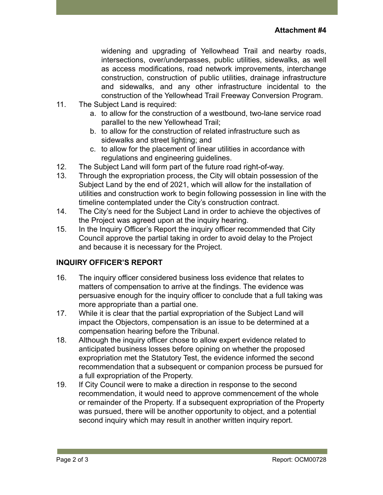widening and upgrading of Yellowhead Trail and nearby roads, intersections, over/underpasses, public utilities, sidewalks, as well as access modifications, road network improvements, interchange construction, construction of public utilities, drainage infrastructure and sidewalks, and any other infrastructure incidental to the construction of the Yellowhead Trail Freeway Conversion Program.

- 11. The Subject Land is required:
	- a. to allow for the construction of a westbound, two-lane service road parallel to the new Yellowhead Trail;
	- b. to allow for the construction of related infrastructure such as sidewalks and street lighting; and
	- c. to allow for the placement of linear utilities in accordance with regulations and engineering guidelines.
- 12. The Subject Land will form part of the future road right-of-way.
- 13. Through the expropriation process, the City will obtain possession of the Subject Land by the end of 2021, which will allow for the installation of utilities and construction work to begin following possession in line with the timeline contemplated under the City's construction contract.
- 14. The City's need for the Subject Land in order to achieve the objectives of the Project was agreed upon at the inquiry hearing.
- 15. In the Inquiry Officer's Report the inquiry officer recommended that City Council approve the partial taking in order to avoid delay to the Project and because it is necessary for the Project.

#### **INQUIRY OFFICER'S REPORT**

- 16. The inquiry officer considered business loss evidence that relates to matters of compensation to arrive at the findings. The evidence was persuasive enough for the inquiry officer to conclude that a full taking was more appropriate than a partial one.
- 17. While it is clear that the partial expropriation of the Subject Land will impact the Objectors, compensation is an issue to be determined at a compensation hearing before the Tribunal.
- 18. Although the inquiry officer chose to allow expert evidence related to anticipated business losses before opining on whether the proposed expropriation met the Statutory Test, the evidence informed the second recommendation that a subsequent or companion process be pursued for a full expropriation of the Property.
- 19. If City Council were to make a direction in response to the second recommendation, it would need to approve commencement of the whole or remainder of the Property. If a subsequent expropriation of the Property was pursued, there will be another opportunity to object, and a potential second inquiry which may result in another written inquiry report.